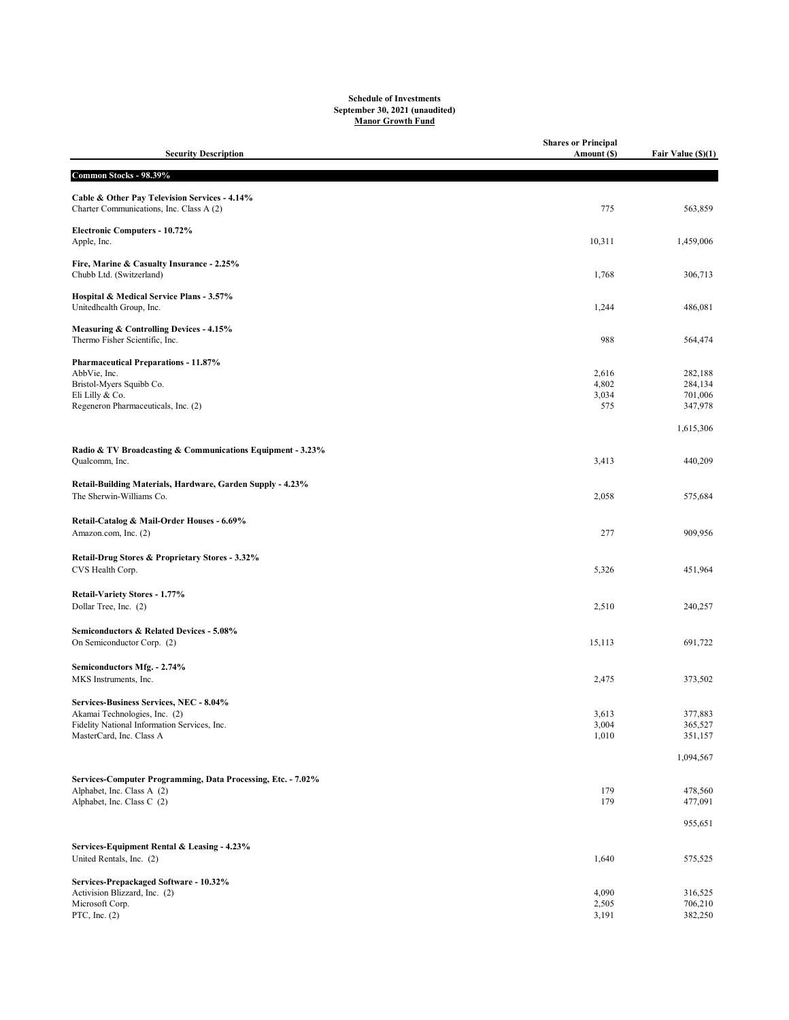## Schedule of Investments September 30, 2021 (unaudited) Manor Growth Fund

| <b>Security Description</b>                                                                | <b>Shares or Principal</b><br>Amount (\$) | Fair Value (\$)(1) |
|--------------------------------------------------------------------------------------------|-------------------------------------------|--------------------|
| Common Stocks - 98.39%                                                                     |                                           |                    |
|                                                                                            |                                           |                    |
| Cable & Other Pay Television Services - 4.14%<br>Charter Communications, Inc. Class A (2)  | 775                                       | 563,859            |
| Electronic Computers - 10.72%<br>Apple, Inc.                                               | 10,311                                    | 1,459,006          |
| Fire, Marine & Casualty Insurance - 2.25%<br>Chubb Ltd. (Switzerland)                      | 1,768                                     | 306,713            |
| Hospital & Medical Service Plans - 3.57%<br>Unitedhealth Group, Inc.                       | 1,244                                     | 486,081            |
| Measuring & Controlling Devices - 4.15%<br>Thermo Fisher Scientific, Inc.                  | 988                                       | 564,474            |
| <b>Pharmaceutical Preparations - 11.87%</b>                                                |                                           |                    |
| AbbVie, Inc.                                                                               | 2,616                                     | 282,188            |
| Bristol-Myers Squibb Co.                                                                   | 4,802                                     | 284,134            |
| Eli Lilly & Co.<br>Regeneron Pharmaceuticals, Inc. (2)                                     | 3,034<br>575                              | 701,006<br>347,978 |
|                                                                                            |                                           |                    |
|                                                                                            |                                           | 1,615,306          |
| Radio & TV Broadcasting & Communications Equipment - 3.23%                                 |                                           |                    |
| Qualcomm, Inc.                                                                             | 3,413                                     | 440,209            |
| Retail-Building Materials, Hardware, Garden Supply - 4.23%                                 |                                           |                    |
| The Sherwin-Williams Co.                                                                   | 2,058                                     | 575,684            |
|                                                                                            |                                           |                    |
| Retail-Catalog & Mail-Order Houses - 6.69%                                                 |                                           |                    |
| Amazon.com, Inc. (2)                                                                       | 277                                       | 909,956            |
| Retail-Drug Stores & Proprietary Stores - 3.32%                                            |                                           |                    |
| CVS Health Corp.                                                                           | 5,326                                     | 451,964            |
|                                                                                            |                                           |                    |
| Retail-Variety Stores - 1.77%<br>Dollar Tree, Inc. (2)                                     | 2,510                                     | 240,257            |
|                                                                                            |                                           |                    |
| Semiconductors & Related Devices - 5.08%                                                   |                                           |                    |
| On Semiconductor Corp. (2)                                                                 | 15,113                                    | 691,722            |
| Semiconductors Mfg. - 2.74%                                                                |                                           |                    |
| MKS Instruments, Inc.                                                                      | 2,475                                     | 373,502            |
|                                                                                            |                                           |                    |
| Services-Business Services, NEC - 8.04%<br>Akamai Technologies, Inc. (2)                   | 3,613                                     | 377,883            |
| Fidelity National Information Services, Inc.                                               | 3,004                                     | 365,527            |
| MasterCard, Inc. Class A                                                                   | 1,010                                     | 351,157            |
|                                                                                            |                                           | 1,094,567          |
|                                                                                            |                                           |                    |
| Services-Computer Programming, Data Processing, Etc. - 7.02%<br>Alphabet, Inc. Class A (2) | 179                                       | 478,560            |
| Alphabet, Inc. Class C (2)                                                                 | 179                                       | 477,091            |
|                                                                                            |                                           |                    |
|                                                                                            |                                           | 955,651            |
| Services-Equipment Rental & Leasing - 4.23%                                                |                                           |                    |
| United Rentals, Inc. (2)                                                                   | 1,640                                     | 575,525            |
| Services-Prepackaged Software - 10.32%                                                     |                                           |                    |
| Activision Blizzard, Inc. (2)                                                              | 4,090                                     | 316,525            |
| Microsoft Corp.<br>PTC, Inc. $(2)$                                                         | 2,505<br>3,191                            | 706,210<br>382,250 |
|                                                                                            |                                           |                    |